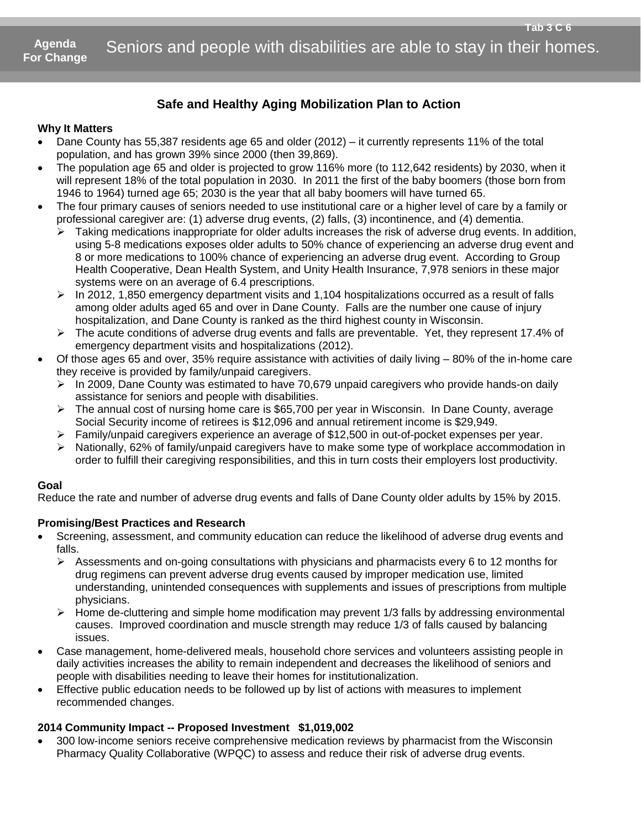### **Safe and Healthy Aging Mobilization Plan to Action**

### **Why It Matters**

- Dane County has 55,387 residents age 65 and older (2012) it currently represents 11% of the total population, and has grown 39% since 2000 (then 39,869).
- The population age 65 and older is projected to grow 116% more (to 112,642 residents) by 2030, when it will represent 18% of the total population in 2030. In 2011 the first of the baby boomers (those born from 1946 to 1964) turned age 65; 2030 is the year that all baby boomers will have turned 65.
- The four primary causes of seniors needed to use institutional care or a higher level of care by a family or professional caregiver are: (1) adverse drug events, (2) falls, (3) incontinence, and (4) dementia.
	- Taking medications inappropriate for older adults increases the risk of adverse drug events. In addition, using 5-8 medications exposes older adults to 50% chance of experiencing an adverse drug event and 8 or more medications to 100% chance of experiencing an adverse drug event. According to Group Health Cooperative, Dean Health System, and Unity Health Insurance, 7,978 seniors in these major systems were on an average of 6.4 prescriptions.
	- $\triangleright$  In 2012, 1,850 emergency department visits and 1,104 hospitalizations occurred as a result of falls among older adults aged 65 and over in Dane County. Falls are the number one cause of injury hospitalization, and Dane County is ranked as the third highest county in Wisconsin.
	- $\triangleright$  The acute conditions of adverse drug events and falls are preventable. Yet, they represent 17.4% of emergency department visits and hospitalizations (2012).
- Of those ages 65 and over, 35% require assistance with activities of daily living 80% of the in-home care they receive is provided by family/unpaid caregivers.
	- $\triangleright$  In 2009, Dane County was estimated to have 70,679 unpaid caregivers who provide hands-on daily assistance for seniors and people with disabilities.
	- $\triangleright$  The annual cost of nursing home care is \$65,700 per year in Wisconsin. In Dane County, average Social Security income of retirees is \$12,096 and annual retirement income is \$29,949.
	- Family/unpaid caregivers experience an average of \$12,500 in out-of-pocket expenses per year.
	- $\triangleright$  Nationally, 62% of family/unpaid caregivers have to make some type of workplace accommodation in order to fulfill their caregiving responsibilities, and this in turn costs their employers lost productivity.

#### **Goal**

Reduce the rate and number of adverse drug events and falls of Dane County older adults by 15% by 2015.

### **Promising/Best Practices and Research**

- Screening, assessment, and community education can reduce the likelihood of adverse drug events and falls.
	- $\triangleright$  Assessments and on-going consultations with physicians and pharmacists every 6 to 12 months for drug regimens can prevent adverse drug events caused by improper medication use, limited understanding, unintended consequences with supplements and issues of prescriptions from multiple physicians.
	- $\triangleright$  Home de-cluttering and simple home modification may prevent 1/3 falls by addressing environmental causes. Improved coordination and muscle strength may reduce 1/3 of falls caused by balancing issues.
- Case management, home-delivered meals, household chore services and volunteers assisting people in daily activities increases the ability to remain independent and decreases the likelihood of seniors and people with disabilities needing to leave their homes for institutionalization.
- Effective public education needs to be followed up by list of actions with measures to implement recommended changes.

### **2014 Community Impact -- Proposed Investment \$1,019,002**

 300 low-income seniors receive comprehensive medication reviews by pharmacist from the Wisconsin Pharmacy Quality Collaborative (WPQC) to assess and reduce their risk of adverse drug events.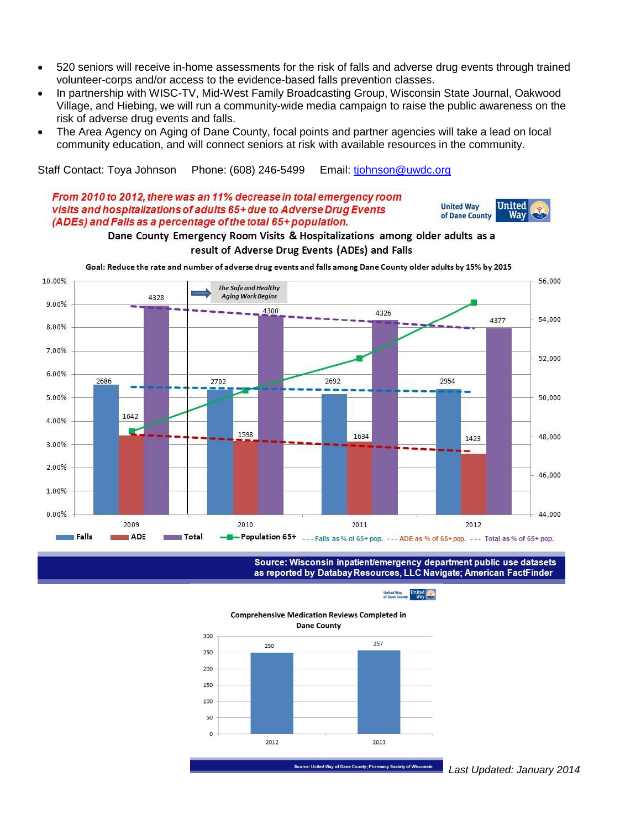- 520 seniors will receive in-home assessments for the risk of falls and adverse drug events through trained volunteer-corps and/or access to the evidence-based falls prevention classes.
- In partnership with WISC-TV, Mid-West Family Broadcasting Group, Wisconsin State Journal, Oakwood Village, and Hiebing, we will run a community-wide media campaign to raise the public awareness on the risk of adverse drug events and falls.
- The Area Agency on Aging of Dane County, focal points and partner agencies will take a lead on local community education, and will connect seniors at risk with available resources in the community.

Staff Contact: Toya Johnson Phone: (608) 246-5499 Email: [tjohnson@uwdc.org](mailto:tjohnson@uwdc.org)

### From 2010 to 2012, there was an 11% decrease in total emergency room visits and hospitalizations of adults 65+ due to Adverse Drug Events (ADEs) and Falls as a percentage of the total 65+ population.



#### Dane County Emergency Room Visits & Hospitalizations among older adults as a result of Adverse Drug Events (ADEs) and Falls

Goal: Reduce the rate and number of adverse drug events and falls among Dane County older adults by 15% by 2015



Source: Wisconsin inpatient/emergency department public use datasets as reported by Databay Resources, LLC Navigate; American FactFinder

United Way<br>of Dane County<br>Way

**Comprehensive Medication Reviews Completed in Dane County** 



Source: United Way of Dane County; Pharmacy Society of Wisconsin

 *Last Updated: January 2014*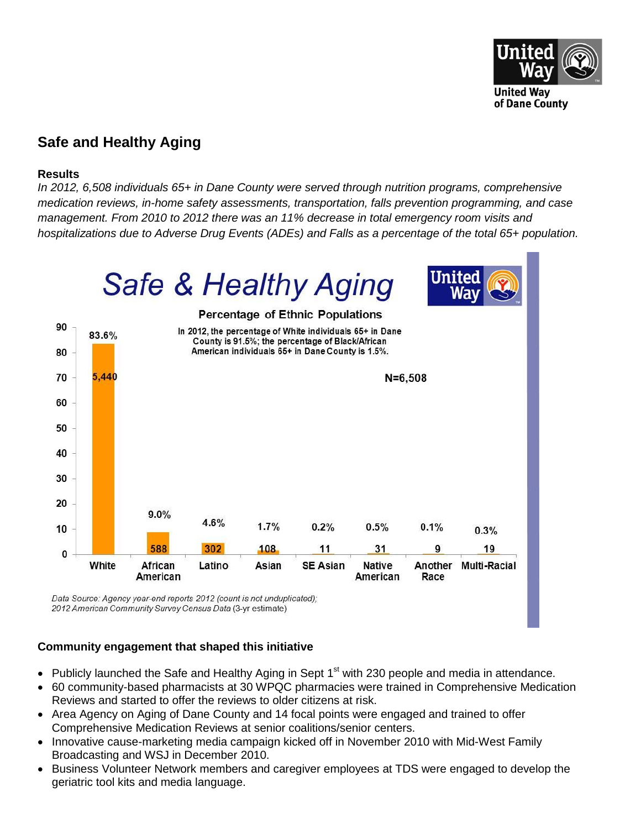

### **Safe and Healthy Aging**

### **Results**

*In 2012, 6,508 individuals 65+ in Dane County were served through nutrition programs, comprehensive medication reviews, in-home safety assessments, transportation, falls prevention programming, and case management. From 2010 to 2012 there was an 11% decrease in total emergency room visits and hospitalizations due to Adverse Drug Events (ADEs) and Falls as a percentage of the total 65+ population.*



Data Source: Agency year-end reports 2012 (count is not unduplicated); 2012 American Community Survey Census Data (3-yr estimate)

### **Community engagement that shaped this initiative**

- Publicly launched the Safe and Healthy Aging in Sept 1<sup>st</sup> with 230 people and media in attendance.
- 60 community-based pharmacists at 30 WPQC pharmacies were trained in Comprehensive Medication Reviews and started to offer the reviews to older citizens at risk.
- Area Agency on Aging of Dane County and 14 focal points were engaged and trained to offer Comprehensive Medication Reviews at senior coalitions/senior centers.
- Innovative cause-marketing media campaign kicked off in November 2010 with Mid-West Family Broadcasting and WSJ in December 2010.
- Business Volunteer Network members and caregiver employees at TDS were engaged to develop the geriatric tool kits and media language.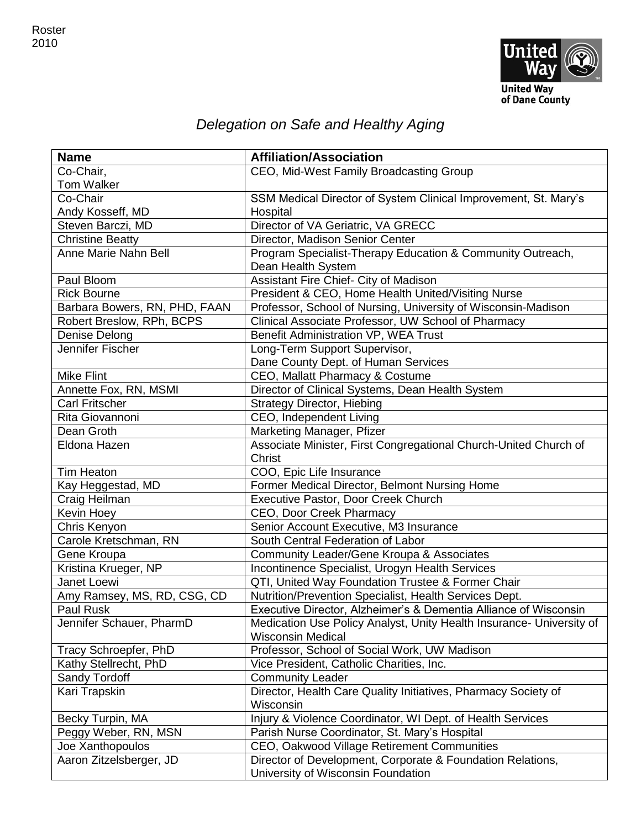

# *Delegation on Safe and Healthy Aging*

| <b>Name</b>                   | <b>Affiliation/Association</b>                                       |
|-------------------------------|----------------------------------------------------------------------|
| Co-Chair,                     | CEO, Mid-West Family Broadcasting Group                              |
| <b>Tom Walker</b>             |                                                                      |
| Co-Chair                      | SSM Medical Director of System Clinical Improvement, St. Mary's      |
| Andy Kosseff, MD              | Hospital                                                             |
| Steven Barczi, MD             | Director of VA Geriatric, VA GRECC                                   |
| <b>Christine Beatty</b>       | Director, Madison Senior Center                                      |
| Anne Marie Nahn Bell          | Program Specialist-Therapy Education & Community Outreach,           |
|                               | Dean Health System                                                   |
| Paul Bloom                    | Assistant Fire Chief- City of Madison                                |
| <b>Rick Bourne</b>            | President & CEO, Home Health United/Visiting Nurse                   |
| Barbara Bowers, RN, PHD, FAAN | Professor, School of Nursing, University of Wisconsin-Madison        |
| Robert Breslow, RPh, BCPS     | Clinical Associate Professor, UW School of Pharmacy                  |
| Denise Delong                 | Benefit Administration VP, WEA Trust                                 |
| Jennifer Fischer              | Long-Term Support Supervisor,                                        |
|                               | Dane County Dept. of Human Services                                  |
| <b>Mike Flint</b>             | CEO, Mallatt Pharmacy & Costume                                      |
| Annette Fox, RN, MSMI         | Director of Clinical Systems, Dean Health System                     |
| <b>Carl Fritscher</b>         | <b>Strategy Director, Hiebing</b>                                    |
| Rita Giovannoni               | CEO, Independent Living                                              |
| Dean Groth                    | Marketing Manager, Pfizer                                            |
| Eldona Hazen                  | Associate Minister, First Congregational Church-United Church of     |
|                               | Christ                                                               |
| <b>Tim Heaton</b>             | COO, Epic Life Insurance                                             |
| Kay Heggestad, MD             | Former Medical Director, Belmont Nursing Home                        |
| Craig Heilman                 | Executive Pastor, Door Creek Church                                  |
| Kevin Hoey                    | CEO, Door Creek Pharmacy                                             |
| Chris Kenyon                  | Senior Account Executive, M3 Insurance                               |
| Carole Kretschman, RN         | South Central Federation of Labor                                    |
| Gene Kroupa                   | Community Leader/Gene Kroupa & Associates                            |
| Kristina Krueger, NP          | Incontinence Specialist, Urogyn Health Services                      |
| Janet Loewi                   | QTI, United Way Foundation Trustee & Former Chair                    |
| Amy Ramsey, MS, RD, CSG, CD   | Nutrition/Prevention Specialist, Health Services Dept.               |
| Paul Rusk                     | Executive Director, Alzheimer's & Dementia Alliance of Wisconsin     |
| Jennifer Schauer, PharmD      | Medication Use Policy Analyst, Unity Health Insurance- University of |
|                               | <b>Wisconsin Medical</b>                                             |
| Tracy Schroepfer, PhD         | Professor, School of Social Work, UW Madison                         |
| Kathy Stellrecht, PhD         | Vice President, Catholic Charities, Inc.                             |
| <b>Sandy Tordoff</b>          | <b>Community Leader</b>                                              |
| Kari Trapskin                 | Director, Health Care Quality Initiatives, Pharmacy Society of       |
|                               | Wisconsin                                                            |
| Becky Turpin, MA              | Injury & Violence Coordinator, WI Dept. of Health Services           |
| Peggy Weber, RN, MSN          | Parish Nurse Coordinator, St. Mary's Hospital                        |
| Joe Xanthopoulos              | CEO, Oakwood Village Retirement Communities                          |
| Aaron Zitzelsberger, JD       | Director of Development, Corporate & Foundation Relations,           |
|                               | University of Wisconsin Foundation                                   |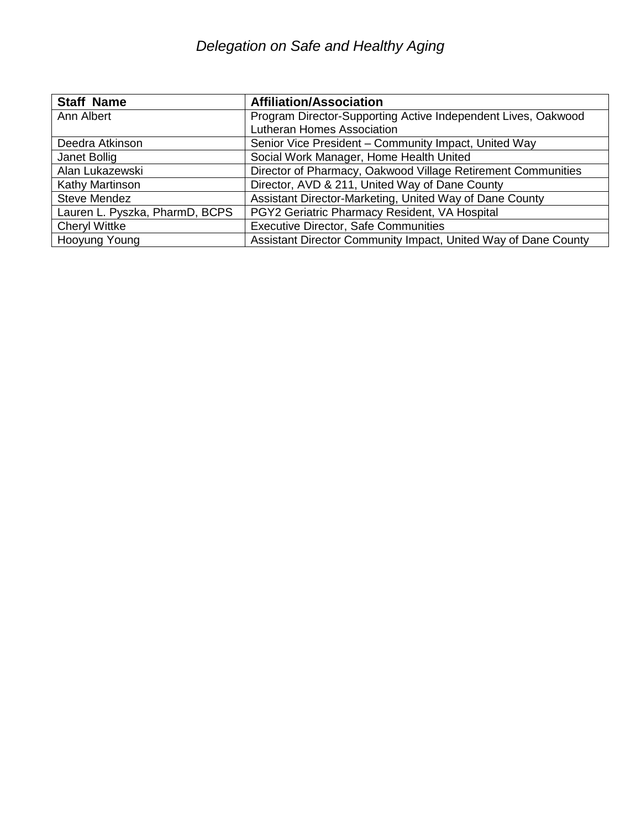## *Delegation on Safe and Healthy Aging*

| <b>Staff Name</b>              | <b>Affiliation/Association</b>                                 |
|--------------------------------|----------------------------------------------------------------|
| Ann Albert                     | Program Director-Supporting Active Independent Lives, Oakwood  |
|                                | <b>Lutheran Homes Association</b>                              |
| Deedra Atkinson                | Senior Vice President - Community Impact, United Way           |
| Janet Bollig                   | Social Work Manager, Home Health United                        |
| Alan Lukazewski                | Director of Pharmacy, Oakwood Village Retirement Communities   |
| <b>Kathy Martinson</b>         | Director, AVD & 211, United Way of Dane County                 |
| Steve Mendez                   | Assistant Director-Marketing, United Way of Dane County        |
| Lauren L. Pyszka, PharmD, BCPS | PGY2 Geriatric Pharmacy Resident, VA Hospital                  |
| <b>Cheryl Wittke</b>           | <b>Executive Director, Safe Communities</b>                    |
| Hooyung Young                  | Assistant Director Community Impact, United Way of Dane County |